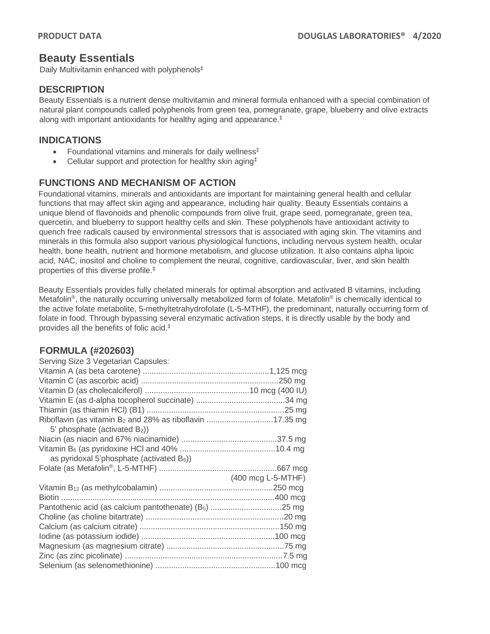# **Beauty Essentials**

Daily Multivitamin enhanced with polyphenols‡

# **DESCRIPTION**

Beauty Essentials is a nutrient dense multivitamin and mineral formula enhanced with a special combination of natural plant compounds called polyphenols from green tea, pomegranate, grape, blueberry and olive extracts along with important antioxidants for healthy aging and appearance.‡

# **INDICATIONS**

- Foundational vitamins and minerals for daily wellness<sup>‡</sup>
- Cellular support and protection for healthy skin aging<sup>‡</sup>

# **FUNCTIONS AND MECHANISM OF ACTION**

Foundational vitamins, minerals and antioxidants are important for maintaining general health and cellular functions that may affect skin aging and appearance, including hair quality. Beauty Essentials contains a unique blend of flavonoids and phenolic compounds from olive fruit, grape seed, pomegranate, green tea, quercetin, and blueberry to support healthy cells and skin. These polyphenols have antioxidant activity to quench free radicals caused by environmental stressors that is associated with aging skin. The vitamins and minerals in this formula also support various physiological functions, including nervous system health, ocular health, bone health, nutrient and hormone metabolism, and glucose utilization. It also contains alpha lipoic acid, NAC, inositol and choline to complement the neural, cognitive, cardiovascular, liver, and skin health properties of this diverse profile.‡

Beauty Essentials provides fully chelated minerals for optimal absorption and activated B vitamins, including Metafolin<sup>®</sup>, the naturally occurring universally metabolized form of folate. Metafolin<sup>®</sup> is chemically identical to the active folate metabolite, 5-methyltetrahydrofolate (L-5-MTHF), the predominant, naturally occurring form of folate in food. Through bypassing several enzymatic activation steps, it is directly usable by the body and provides all the benefits of folic acid. ‡

## **FORMULA (#202603)**

| Serving Size 3 Vegetarian Capsules:                                  |                    |
|----------------------------------------------------------------------|--------------------|
|                                                                      |                    |
|                                                                      |                    |
|                                                                      |                    |
|                                                                      |                    |
|                                                                      |                    |
| Riboflavin (as vitamin B <sub>2</sub> and 28% as riboflavin 17.35 mg |                    |
| 5' phosphate (activated B <sub>2</sub> ))                            |                    |
|                                                                      |                    |
|                                                                      |                    |
| as pyridoxal 5'phosphate (activated $B_6$ ))                         |                    |
|                                                                      |                    |
|                                                                      | (400 mcg L-5-MTHF) |
|                                                                      |                    |
|                                                                      |                    |
|                                                                      |                    |
|                                                                      |                    |
|                                                                      |                    |
|                                                                      |                    |
|                                                                      |                    |
|                                                                      |                    |
|                                                                      |                    |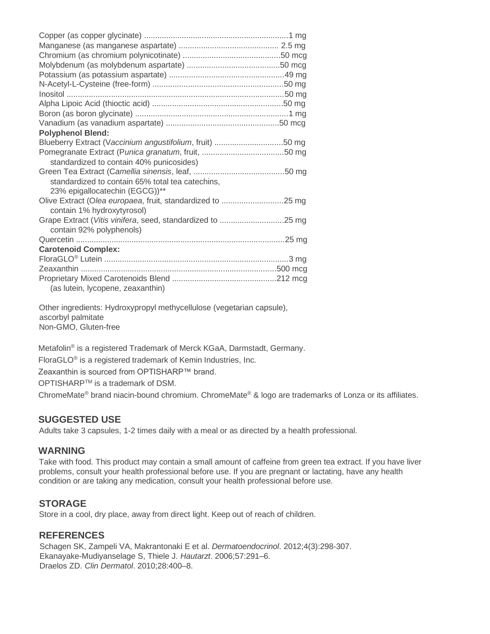| <b>Polyphenol Blend:</b>                                                                 |  |
|------------------------------------------------------------------------------------------|--|
| Blueberry Extract (Vaccinium angustifolium, fruit) 50 mg                                 |  |
| standardized to contain 40% punicosides)                                                 |  |
|                                                                                          |  |
| standardized to contain 65% total tea catechins,<br>23% epigallocatechin (EGCG))**       |  |
| Olive Extract (Olea europaea, fruit, standardized to 25 mg<br>contain 1% hydroxytyrosol) |  |
| Grape Extract (Vitis vinifera, seed, standardized to 25 mg<br>contain 92% polyphenols)   |  |
|                                                                                          |  |
| <b>Carotenoid Complex:</b>                                                               |  |
|                                                                                          |  |
|                                                                                          |  |
| (as lutein, lycopene, zeaxanthin)                                                        |  |

Other ingredients: Hydroxypropyl methycellulose (vegetarian capsule), ascorbyl palmitate Non-GMO, Gluten-free

Metafolin® is a registered Trademark of Merck KGaA, Darmstadt, Germany. FloraGLO® is a registered trademark of Kemin Industries, Inc.

Zeaxanthin is sourced from OPTISHARP™ brand.

OPTISHARPTM is a trademark of DSM.

ChromeMate® brand niacin-bound chromium. ChromeMate® & logo are trademarks of Lonza or its affiliates.

### **SUGGESTED USE**

Adults take 3 capsules, 1-2 times daily with a meal or as directed by a health professional.

### **WARNING**

Take with food. This product may contain a small amount of caffeine from green tea extract. If you have liver problems, consult your health professional before use. If you are pregnant or lactating, have any health condition or are taking any medication, consult your health professional before use.

### **STORAGE**

Store in a cool, dry place, away from direct light. Keep out of reach of children.

## **REFERENCES**

Schagen SK, Zampeli VA, Makrantonaki E et al. *Dermatoendocrinol*. 2012;4(3):298-307. Ekanayake-Mudiyanselage S, Thiele J. *Hautarzt*. 2006;57:291–6. Draelos ZD. *Clin Dermatol*. 2010;28:400–8.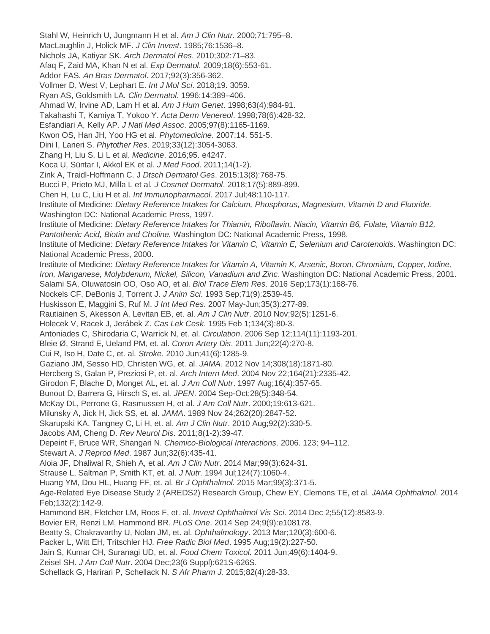Stahl W, Heinrich U, Jungmann H et al. *Am J Clin Nutr*. 2000;71:795–8. MacLaughlin J, Holick MF. *J Clin Invest*. 1985;76:1536–8. Nichols JA, Katiyar SK. *Arch Dermatol Res*. 2010;302:71–83. Afaq F, Zaid MA, Khan N et al. *Exp Dermatol*. 2009;18(6):553-61. Addor FAS. *An Bras Dermatol*. 2017;92(3):356-362. Vollmer D, West V, Lephart E. *Int J Mol Sci*. 2018;19. 3059. Ryan AS, Goldsmith LA. *Clin Dermatol*. 1996;14:389–406. Ahmad W, Irvine AD, Lam H et al. *Am J Hum Genet*. 1998;63(4):984-91. Takahashi T, Kamiya T, Yokoo Y. *Acta Derm Venereol*. 1998;78(6):428-32. Esfandiari A, Kelly AP*. J Natl Med Assoc*. 2005;97(8):1165-1169. Kwon OS, Han JH, Yoo HG et al. *Phytomedicine*. 2007;14. 551-5. Dini I, Laneri S. *Phytother Res*. 2019;33(12):3054-3063. Zhang H, Liu S, Li L et al. *Medicine*. 2016;95. e4247. Koca U, Süntar I, Akkol EK et al. *J Med Food*. 2011;14(1-2). Zink A, Traidl-Hoffmann C. J *Dtsch Dermatol Ges*. 2015;13(8):768-75. Bucci P, Prieto MJ, Milla L et al*. J Cosmet Dermatol*. 2018;17(5):889-899. Chen H, Lu C, Liu H et al. *Int Immunopharmacol*. 2017 Jul;48:110-117. Institute of Medicine: *Dietary Reference Intakes for Calcium, Phosphorus, Magnesium, Vitamin D and Fluoride.* Washington DC: National Academic Press, 1997. Institute of Medicine: *Dietary Reference Intakes for Thiamin, Riboflavin, Niacin, Vitamin B6, Folate, Vitamin B12, Pantothenic Acid, Biotin and Choline.* Washington DC: National Academic Press, 1998. Institute of Medicine: *Dietary Reference Intakes for Vitamin C, Vitamin E, Selenium and Carotenoids*. Washington DC: National Academic Press, 2000. Institute of Medicine: *Dietary Reference Intakes for Vitamin A, Vitamin K, Arsenic, Boron, Chromium, Copper, Iodine, Iron, Manganese, Molybdenum, Nickel, Silicon, Vanadium and Zinc*. Washington DC: National Academic Press, 2001. Salami SA, Oluwatosin OO, Oso AO, et al. *Biol Trace Elem Res*. 2016 Sep;173(1):168-76. Nockels CF, DeBonis J, Torrent J. *J Anim Sci*. 1993 Sep;71(9):2539-45. Huskisson E, Maggini S, Ruf M. *J Int Med Res*. 2007 May-Jun;35(3):277-89. Rautiainen S, Akesson A, Levitan EB, et. al. *Am J Clin Nutr*. 2010 Nov;92(5):1251-6. Holecek V, Racek J, Jerábek Z. *Cas Lek Cesk*. 1995 Feb 1;134(3):80-3. Antoniades C, Shirodaria C, Warrick N, et. al. *Circulation*. 2006 Sep 12;114(11):1193-201. Bleie Ø, Strand E, Ueland PM, et. al. *Coron Artery Dis*. 2011 Jun;22(4):270-8. Cui R, Iso H, Date C, et. al. *Stroke*. 2010 Jun;41(6):1285-9. Gaziano JM, Sesso HD, Christen WG, et. al. *JAMA*. 2012 Nov 14;308(18):1871-80. Hercberg S, Galan P, Preziosi P, et. al. *Arch Intern Med*. 2004 Nov 22;164(21):2335-42. Girodon F, Blache D, Monget AL, et. al. *J Am Coll Nutr*. 1997 Aug;16(4):357-65. Bunout D, Barrera G, Hirsch S, et. al. *JPEN*. 2004 Sep-Oct;28(5):348-54. McKay DL, Perrone G, Rasmussen H, et al. *J Am Coll Nutr*. 2000;19:613-621. Milunsky A, Jick H, Jick SS, et. al. *JAMA*. 1989 Nov 24;262(20):2847-52. Skarupski KA, Tangney C, Li H, et. al. *Am J Clin Nutr*. 2010 Aug;92(2):330-5. Jacobs AM, Cheng D. *Rev Neurol Dis*. 2011;8(1-2):39-47. Depeint F, Bruce WR, Shangari N. *Chemico-Biological Interactions*. 2006. 123; 94–112. Stewart A. *J Reprod Med*. 1987 Jun;32(6):435-41. Aloia JF, Dhaliwal R, Shieh A, et al. *Am J Clin Nutr*. 2014 Mar;99(3):624-31. Strause L, Saltman P, Smith KT, et. al. *J Nutr*. 1994 Jul;124(7):1060-4. Huang YM, Dou HL, Huang FF, et. al. *Br J Ophthalmol*. 2015 Mar;99(3):371-5. Age-Related Eye Disease Study 2 (AREDS2) Research Group, Chew EY, Clemons TE, et al. *JAMA Ophthalmol*. 2014 Feb;132(2):142-9. Hammond BR, Fletcher LM, Roos F, et. al. *Invest Ophthalmol Vis Sci*. 2014 Dec 2;55(12):8583-9. Bovier ER, Renzi LM, Hammond BR. *PLoS One*. 2014 Sep 24;9(9):e108178. Beatty S, Chakravarthy U, Nolan JM, et. al. *Ophthalmology*. 2013 Mar;120(3):600-6. Packer L, Witt EH, Tritschler HJ. *Free Radic Biol Med*. 1995 Aug;19(2):227-50. Jain S, Kumar CH, Suranagi UD, et. al. *Food Chem Toxicol*. 2011 Jun;49(6):1404-9. Zeisel SH. *J Am Coll Nutr*. 2004 Dec;23(6 Suppl):621S-626S. Schellack G, Harirari P, Schellack N. *S Afr Pharm J.* 2015;82(4):28-33.